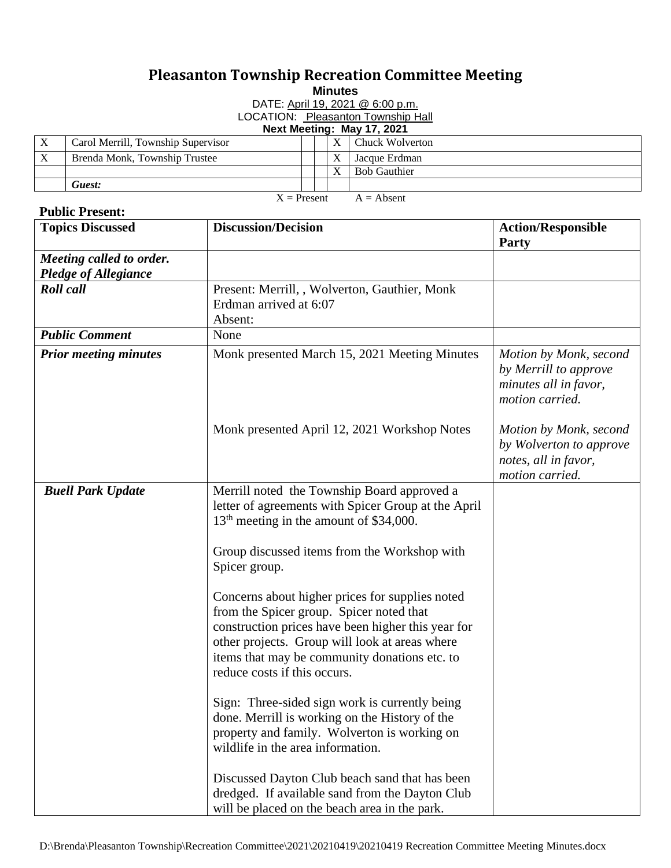## **Pleasanton Township Recreation Committee Meeting**

**Minutes**

DATE: April 19, 2021 @ 6:00 p.m.

LOCATION: Pleasanton Township Hall

**Next Meeting: May 17, 2021**

| $\Lambda$     | Carol Merrill, Township Supervisor |  |  |  | Chuck Wolverton     |
|---------------|------------------------------------|--|--|--|---------------------|
| $\mathbf{v}$  | Brenda Monk, Township Trustee      |  |  |  | Jacque Erdman       |
|               |                                    |  |  |  | <b>Bob Gauthier</b> |
|               | Guest:                             |  |  |  |                     |
| $X =$ Present |                                    |  |  |  | $A =$ Absent        |

## **Public Present:**

| <b>Topics Discussed</b>                                 | <b>Discussion/Decision</b>                                                                                                                                                                                                                                                           | <b>Action/Responsible</b><br>Party                                                           |
|---------------------------------------------------------|--------------------------------------------------------------------------------------------------------------------------------------------------------------------------------------------------------------------------------------------------------------------------------------|----------------------------------------------------------------------------------------------|
| Meeting called to order.<br><b>Pledge of Allegiance</b> |                                                                                                                                                                                                                                                                                      |                                                                                              |
| <b>Roll</b> call                                        | Present: Merrill, , Wolverton, Gauthier, Monk<br>Erdman arrived at 6:07<br>Absent:                                                                                                                                                                                                   |                                                                                              |
| <b>Public Comment</b>                                   | None                                                                                                                                                                                                                                                                                 |                                                                                              |
| <b>Prior meeting minutes</b>                            | Monk presented March 15, 2021 Meeting Minutes                                                                                                                                                                                                                                        | Motion by Monk, second<br>by Merrill to approve<br>minutes all in favor,<br>motion carried.  |
|                                                         | Monk presented April 12, 2021 Workshop Notes                                                                                                                                                                                                                                         | Motion by Monk, second<br>by Wolverton to approve<br>notes, all in favor,<br>motion carried. |
| <b>Buell Park Update</b>                                | Merrill noted the Township Board approved a<br>letter of agreements with Spicer Group at the April<br>13 <sup>th</sup> meeting in the amount of \$34,000.                                                                                                                            |                                                                                              |
|                                                         | Group discussed items from the Workshop with<br>Spicer group.                                                                                                                                                                                                                        |                                                                                              |
|                                                         | Concerns about higher prices for supplies noted<br>from the Spicer group. Spicer noted that<br>construction prices have been higher this year for<br>other projects. Group will look at areas where<br>items that may be community donations etc. to<br>reduce costs if this occurs. |                                                                                              |
|                                                         | Sign: Three-sided sign work is currently being<br>done. Merrill is working on the History of the<br>property and family. Wolverton is working on<br>wildlife in the area information.                                                                                                |                                                                                              |
|                                                         | Discussed Dayton Club beach sand that has been<br>dredged. If available sand from the Dayton Club<br>will be placed on the beach area in the park.                                                                                                                                   |                                                                                              |